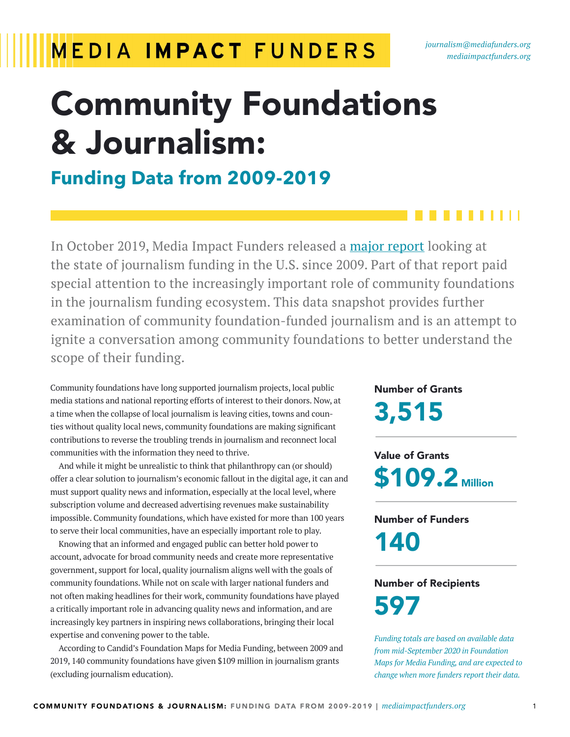### **MEDIA IMPACT FUNDERS**

# Community Foundations & Journalism:

### **Funding Data from 2009-2019**

In October 2019, Media Impact Funders released a [major report](https://mediaimpactfunders.org/reports/journalism-grantmaking-new-funding-models-and-partnerships-to-sustain-and-grow-the-field/) looking at the state of journalism funding in the U.S. since 2009. Part of that report paid special attention to the increasingly important role of community foundations in the journalism funding ecosystem. This data snapshot provides further examination of community foundation-funded journalism and is an attempt to ignite a conversation among community foundations to better understand the scope of their funding.

Community foundations have long supported journalism projects, local public media stations and national reporting efforts of interest to their donors. Now, at a time when the collapse of local journalism is leaving cities, towns and counties without quality local news, community foundations are making significant contributions to reverse the troubling trends in journalism and reconnect local communities with the information they need to thrive.

And while it might be unrealistic to think that philanthropy can (or should) offer a clear solution to journalism's economic fallout in the digital age, it can and must support quality news and information, especially at the local level, where subscription volume and decreased advertising revenues make sustainability impossible. Community foundations, which have existed for more than 100 years to serve their local communities, have an especially important role to play.

Knowing that an informed and engaged public can better hold power to account, advocate for broad community needs and create more representative government, support for local, quality journalism aligns well with the goals of community foundations. While not on scale with larger national funders and not often making headlines for their work, community foundations have played a critically important role in advancing quality news and information, and are increasingly key partners in inspiring news collaborations, bringing their local expertise and convening power to the table.

According to Candid's Foundation Maps for Media Funding, between 2009 and 2019, 140 community foundations have given \$109 million in journalism grants (excluding journalism education).

Number of Grants 3,515

Value of Grants **\$109.2** Million

Number of Funders 140

### Number of Recipients 597

*Funding totals are based on available data from mid-September 2020 in Foundation Maps for Media Funding, and are expected to change when more funders report their data.*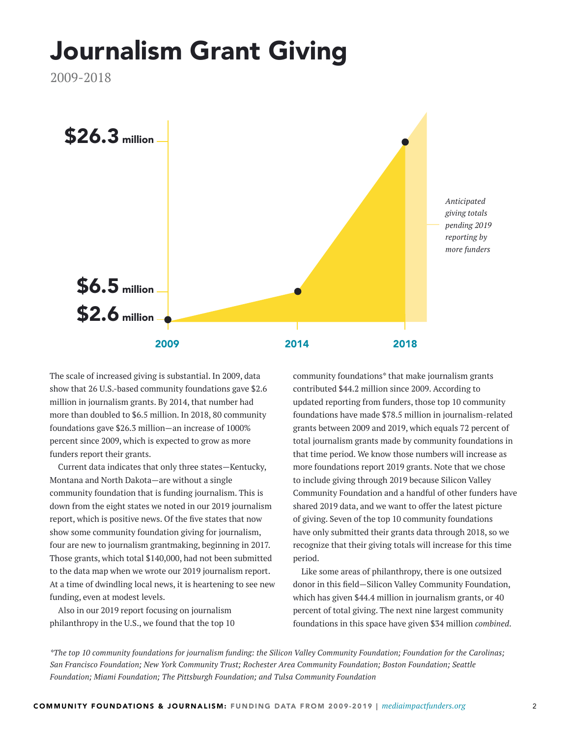## Journalism Grant Giving

2009-2018



The scale of increased giving is substantial. In 2009, data show that 26 U.S.-based community foundations gave \$2.6 million in journalism grants. By 2014, that number had more than doubled to \$6.5 million. In 2018, 80 community foundations gave \$26.3 million—an increase of 1000% percent since 2009, which is expected to grow as more funders report their grants.

Current data indicates that only three states—Kentucky, Montana and North Dakota—are without a single community foundation that is funding journalism. This is down from the eight states we noted in our 2019 journalism report, which is positive news. Of the five states that now show some community foundation giving for journalism, four are new to journalism grantmaking, beginning in 2017. Those grants, which total \$140,000, had not been submitted to the data map when we wrote our 2019 journalism report. At a time of dwindling local news, it is heartening to see new funding, even at modest levels.

Also in our 2019 report focusing on journalism philanthropy in the U.S., we found that the top 10 community foundations\* that make journalism grants contributed \$44.2 million since 2009. According to updated reporting from funders, those top 10 community foundations have made \$78.5 million in journalism-related grants between 2009 and 2019, which equals 72 percent of total journalism grants made by community foundations in that time period. We know those numbers will increase as more foundations report 2019 grants. Note that we chose to include giving through 2019 because Silicon Valley Community Foundation and a handful of other funders have shared 2019 data, and we want to offer the latest picture of giving. Seven of the top 10 community foundations have only submitted their grants data through 2018, so we recognize that their giving totals will increase for this time period.

Like some areas of philanthropy, there is one outsized donor in this field—Silicon Valley Community Foundation, which has given \$44.4 million in journalism grants, or 40 percent of total giving. The next nine largest community foundations in this space have given \$34 million *combined*.

*\*The top 10 community foundations for journalism funding: the Silicon Valley Community Foundation; Foundation for the Carolinas; San Francisco Foundation; New York Community Trust; Rochester Area Community Foundation; Boston Foundation; Seattle Foundation; Miami Foundation; The Pittsburgh Foundation; and Tulsa Community Foundation*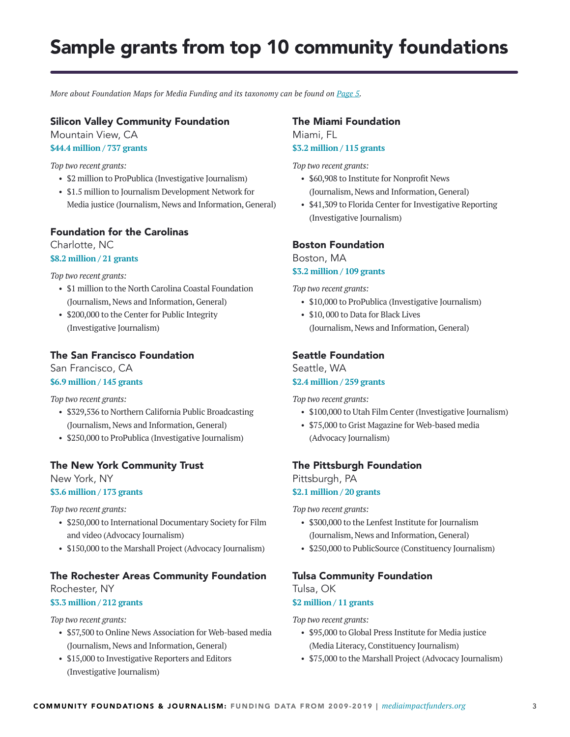### Sample grants from top 10 community foundations

*More about Foundation Maps for Media Funding and its taxonomy can be found on [Page 5](#page-4-0).* 

#### Silicon Valley Community Foundation

Mountain View, CA

**\$44.4 million / 737 grants**

*Top two recent grants:* 

- \$2 million to ProPublica (Investigative Journalism)
- \$1.5 million to Journalism Development Network for Media justice (Journalism, News and Information, General)

#### Foundation for the Carolinas

Charlotte, NC

#### **\$8.2 million / 21 grants**

*Top two recent grants:* 

- \$1 million to the North Carolina Coastal Foundation (Journalism, News and Information, General)
- \$200,000 to the Center for Public Integrity (Investigative Journalism)

#### The San Francisco Foundation

San Francisco, CA **\$6.9 million / 145 grants**

### *Top two recent grants:*

- \$329,536 to Northern California Public Broadcasting (Journalism, News and Information, General)
- \$250,000 to ProPublica (Investigative Journalism)

#### The New York Community Trust

New York, NY **\$3.6 million / 173 grants**

*Top two recent grants:*

- \$250,000 to International Documentary Society for Film and video (Advocacy Journalism)
- \$150,000 to the Marshall Project (Advocacy Journalism)

#### The Rochester Areas Community Foundation

Rochester, NY

#### **\$3.3 million / 212 grants**

*Top two recent grants:*

- \$57,500 to Online News Association for Web-based media (Journalism, News and Information, General)
- \$15,000 to Investigative Reporters and Editors (Investigative Journalism)

#### The Miami Foundation

Miami, FL **\$3.2 million / 115 grants**

#### *Top two recent grants:*

- \$60,908 to Institute for Nonprofit News (Journalism, News and Information, General)
- \$41,309 to Florida Center for Investigative Reporting (Investigative Journalism)

#### Boston Foundation

Boston, MA **\$3.2 million / 109 grants**

*Top two recent grants:*

- \$10,000 to ProPublica (Investigative Journalism)
- \$10, 000 to Data for Black Lives (Journalism, News and Information, General)

#### Seattle Foundation

Seattle, WA **\$2.4 million / 259 grants**

*Top two recent grants:*

- \$100,000 to Utah Film Center (Investigative Journalism)
- \$75,000 to Grist Magazine for Web-based media (Advocacy Journalism)

#### The Pittsburgh Foundation

Pittsburgh, PA **\$2.1 million / 20 grants**

*Top two recent grants:*

- \$300,000 to the Lenfest Institute for Journalism (Journalism, News and Information, General)
- \$250,000 to PublicSource (Constituency Journalism)

#### Tulsa Community Foundation

Tulsa, OK **\$2 million / 11 grants**

*Top two recent grants:*

- \$95,000 to Global Press Institute for Media justice (Media Literacy, Constituency Journalism)
- \$75,000 to the Marshall Project (Advocacy Journalism)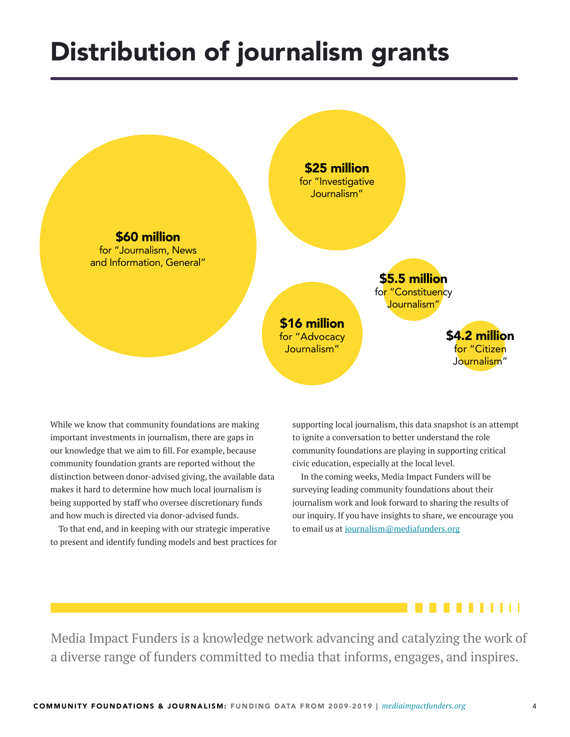## Distribution of journalism grants



While we know that community foundations are making important investments in journalism, there are gaps in our knowledge that we aim to fill. For example, because community foundation grants are reported without the distinction between donor-advised giving, the available data makes it hard to determine how much local journalism is being supported by staff who oversee discretionary funds and how much is directed via donor-advised funds.

To that end, and in keeping with our strategic imperative to present and identify funding models and best practices for supporting local journalism, this data snapshot is an attempt to ignite a conversation to better understand the role community foundations are playing in supporting critical civic education, especially at the local level.

In the coming weeks, Media Impact Funders will be surveying leading community foundations about their journalism work and look forward to sharing the results of our inquiry. If you have insights to share, we encourage you to email us at [journalism@mediafunders.org](mailto:journalism%40mediafunders.org?subject=)



Media Impact Funders is a knowledge network advancing and catalyzing the work of a diverse range of funders committed to media that informs, engages, and inspires.